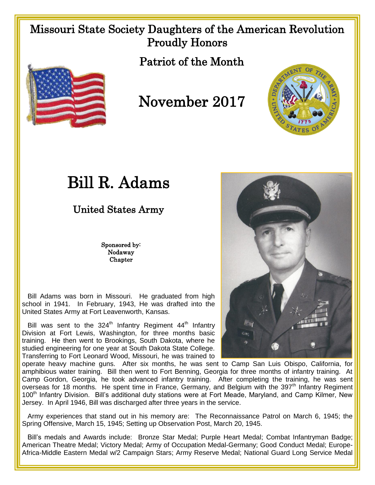## Missouri State Society Daughters of the American Revolution Proudly Honors

Patriot of the Month



## November 2017



United States Army

Sponsored by: Nodaway Chapter

 Bill Adams was born in Missouri. He graduated from high school in 1941. In February, 1943, He was drafted into the United States Army at Fort Leavenworth, Kansas.

Bill was sent to the  $324<sup>th</sup>$  Infantry Regiment  $44<sup>th</sup>$  Infantry Division at Fort Lewis, Washington, for three months basic training. He then went to Brookings, South Dakota, where he studied engineering for one year at South Dakota State College. Transferring to Fort Leonard Wood, Missouri, he was trained to

operate heavy machine guns. After six months, he was sent to Camp San Luis Obispo, California, for amphibious water training. Bill then went to Fort Benning, Georgia for three months of infantry training. At Camp Gordon, Georgia, he took advanced infantry training. After completing the training, he was sent overseas for 18 months. He spent time in France, Germany, and Belgium with the 397<sup>th</sup> Infantry Regiment 100<sup>th</sup> Infantry Division. Bill's additional duty stations were at Fort Meade, Maryland, and Camp Kilmer, New Jersey. In April 1946, Bill was discharged after three years in the service.

 Army experiences that stand out in his memory are: The Reconnaissance Patrol on March 6, 1945; the Spring Offensive, March 15, 1945; Setting up Observation Post, March 20, 1945.

 Bill's medals and Awards include: Bronze Star Medal; Purple Heart Medal; Combat Infantryman Badge; American Theatre Medal; Victory Medal; Army of Occupation Medal-Germany; Good Conduct Medal; Europe-Africa-Middle Eastern Medal w/2 Campaign Stars; Army Reserve Medal; National Guard Long Service Medal